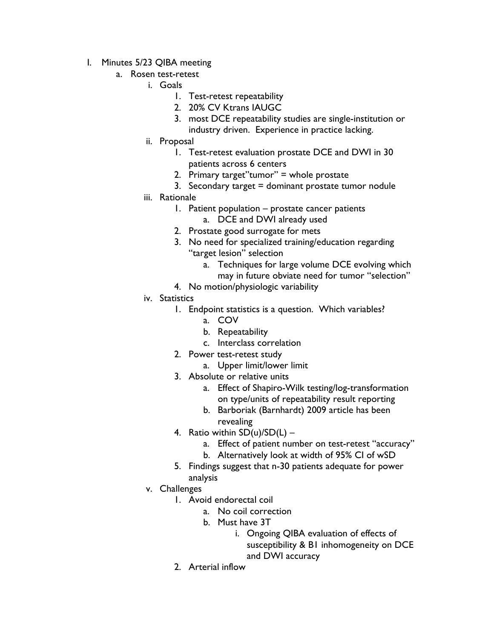- I. Minutes 5/23 QIBA meeting
	- a. Rosen test-retest
		- i. Goals
			- 1. Test-retest repeatability
			- 2. 20% CV Ktrans IAUGC
			- 3. most DCE repeatability studies are single-institution or industry driven. Experience in practice lacking.
		- ii. Proposal
			- 1. Test-retest evaluation prostate DCE and DWI in 30 patients across 6 centers
			- 2. Primary target"tumor" = whole prostate
			- 3. Secondary target  $=$  dominant prostate tumor nodule
		- iii. Rationale
			- 1. Patient population prostate cancer patients
				- a. DCE and DWI already used
			- 2. Prostate good surrogate for mets
			- 3. No need for specialized training/education regarding "target lesion" selection
				- a. Techniques for large volume DCE evolving which may in future obviate need for tumor "selection"
			- 4. No motion/physiologic variability
		- iv. Statistics
			- 1. Endpoint statistics is a question. Which variables?
				- a. COV
				- b. Repeatability
				- c. Interclass correlation
			- 2. Power test-retest study
				- a. Upper limit/lower limit
			- 3. Absolute or relative units
				- a. Effect of Shapiro-Wilk testing/log-transformation on type/units of repeatability result reporting
				- b. Barboriak (Barnhardt) 2009 article has been revealing
			- 4. Ratio within  $SD(u)/SD(L)$ 
				- a. Effect of patient number on test-retest "accuracy"
				- b. Alternatively look at width of 95% CI of wSD
			- 5. Findings suggest that n-30 patients adequate for power analysis
		- v. Challenges
			- 1. Avoid endorectal coil
				- a. No coil correction
				- b. Must have 3T
					- i. Ongoing QIBA evaluation of effects of susceptibility & B1 inhomogeneity on DCE and DWI accuracy
			- 2. Arterial inflow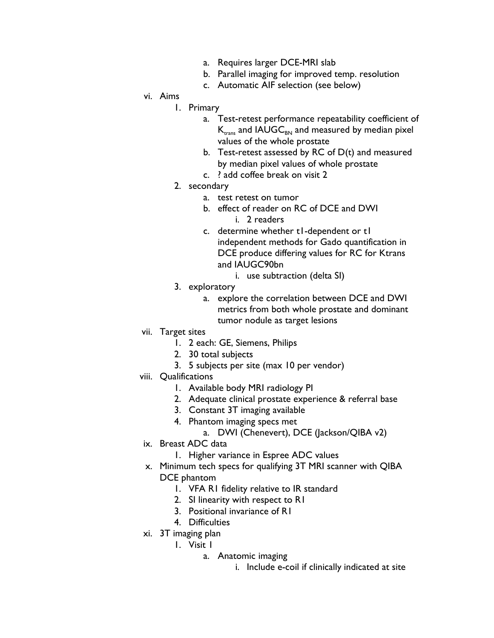- a. Requires larger DCE-MRI slab
- b. Parallel imaging for improved temp. resolution
- c. Automatic AIF selection (see below)
- vi. Aims
	- 1. Primary
		- a. Test-retest performance repeatability coefficient of  $K_{trans}$  and IAUGC $_{BN}$  and measured by median pixel values of the whole prostate
		- b. Test-retest assessed by RC of  $D(t)$  and measured by median pixel values of whole prostate
		- c. ? add coffee break on visit 2
	- 2. secondary
		- a. test retest on tumor
		- b. effect of reader on RC of DCE and DWI
			- i. 2 readers
		- c. determine whether t1-dependent or t1 independent methods for Gado quantification in DCE produce differing values for RC for Ktrans and IAUGC90bn
			- i. use subtraction (delta SI)
	- 3. exploratory
		- a. explore the correlation between DCE and DWI metrics from both whole prostate and dominant tumor nodule as target lesions
- vii. Target sites
	- 1. 2 each: GE, Siemens, Philips
	- 2. 30 total subjects
	- 3. 5 subjects per site (max 10 per vendor)
- viii. Qualifications
	- 1. Available body MRI radiology PI
	- 2. Adequate clinical prostate experience & referral base
	- 3. Constant 3T imaging available
	- 4. Phantom imaging specs met
		- a. DWI (Chenevert), DCE (Jackson/QIBA v2)
- ix. Breast ADC data
	- 1. Higher variance in Espree ADC values
- x. Minimum tech specs for qualifying 3T MRI scanner with QIBA DCE phantom
	- 1. VFA R1 fidelity relative to IR standard
	- 2. SI linearity with respect to R1
	- 3. Positional invariance of R1
	- 4. Difficulties
- xi. 3T imaging plan
	- 1. Visit 1
		- a. Anatomic imaging
			- i. Include e-coil if clinically indicated at site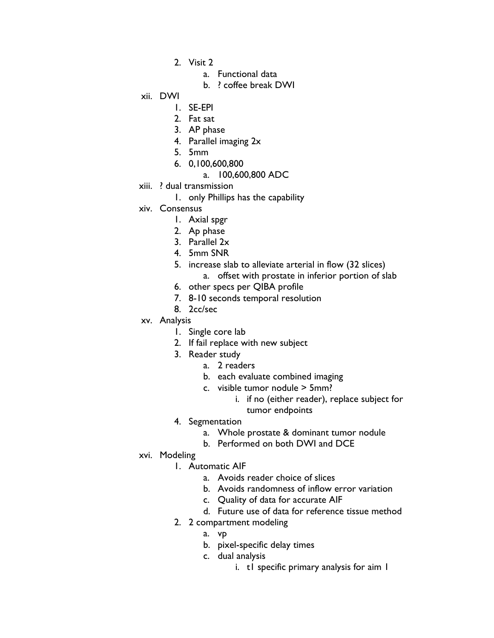- 2. Visit 2
	- a. Functional data
	- b. ? coffee break DWI

## xii. DWI

- 1. SE-EPI
- 2. Fat sat
- 3. AP phase
- 4. Parallel imaging 2x
- 5. 5mm
- 6. 0,100,600,800
	- a. 100,600,800 ADC
- xiii. ? dual transmission
	- 1. only Phillips has the capability
- xiv. Consensus
	- 1. Axial spgr
	- 2. Ap phase
	- 3. Parallel 2x
	- 4. 5mm SNR
	- 5. increase slab to alleviate arterial in flow (32 slices)
		- a. offset with prostate in inferior portion of slab
	- 6. other specs per QIBA profile
	- 7. 8-10 seconds temporal resolution
	- 8. 2cc/sec
- xv. Analysis
	- 1. Single core lab
	- 2. If fail replace with new subject
	- 3. Reader study
		- a. 2 readers
		- b. each evaluate combined imaging
		- c. visible tumor nodule > 5mm?
			- i. if no (either reader), replace subject for tumor endpoints
	- 4. Segmentation
		- a. Whole prostate & dominant tumor nodule
		- b. Performed on both DWI and DCE
- xvi. Modeling
	- 1. Automatic AIF
		- a. Avoids reader choice of slices
		- b. Avoids randomness of inflow error variation
		- c. Quality of data for accurate AIF
		- d. Future use of data for reference tissue method
	- 2. 2 compartment modeling
		- a. vp
		- b. pixel-specific delay times
		- c. dual analysis
			- i. t1 specific primary analysis for aim 1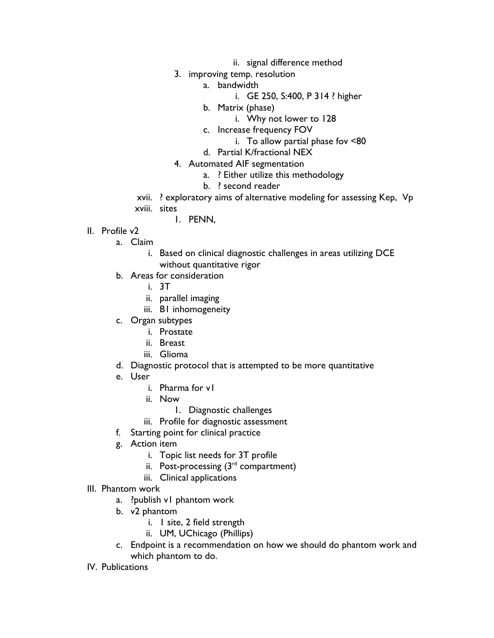- ii. signal difference method
- 3. improving temp. resolution
	- a. bandwidth
		- i. GE 250, S:400, P 314 ? higher
	- b. Matrix (phase)
		- i. Why not lower to 128
	- c. Increase frequency FOV
		- i. To allow partial phase fov <80
	- d. Partial K/fractional NEX
- 4. Automated AIF segmentation
	- a. ? Either utilize this methodology
	- b. ? second reader
- xvii. ? exploratory aims of alternative modeling for assessing Kep, Vp xviii. sites
	- 1. PENN,
- II. Profile v2
	- a. Claim
		- i. Based on clinical diagnostic challenges in areas utilizing DCE without quantitative rigor
	- b. Areas for consideration
		- i. 3T
		- ii. parallel imaging
		- iii. B1 inhomogeneity
	- c. Organ subtypes
		- i. Prostate
		- ii. Breast
		- iii. Glioma
	- d. Diagnostic protocol that is attempted to be more quantitative
	- e. User
		- i. Pharma for v1
		- ii. Now
			- 1. Diagnostic challenges
		- iii. Profile for diagnostic assessment
	- f. Starting point for clinical practice
	- g. Action item
		- i. Topic list needs for 3T profile
		- ii. Post-processing  $(3<sup>rd</sup>$  compartment)
		- iii. Clinical applications
- III. Phantom work
	- a. ?publish v1 phantom work
	- b. v2 phantom
		- i. 1 site, 2 field strength
		- ii. UM, UChicago (Phillips)
	- c. Endpoint is a recommendation on how we should do phantom work and which phantom to do.
- IV. Publications